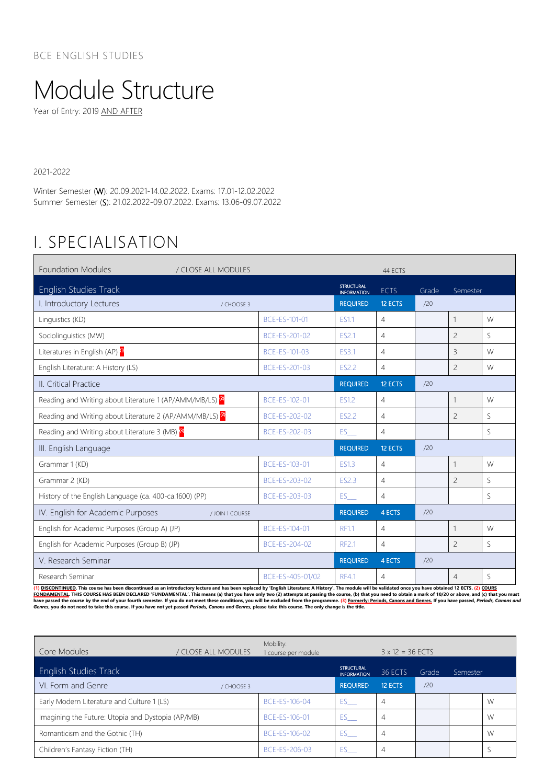## Module Structure

Year of Entry: 2019 AND AFTER

2021-2022

Winter Semester (W): 20.09.2021-14.02.2022. Exams: 17.01-12.02.2022 Summer Semester (S): 21.02.2022-09.07.2022. Exams: 13.06-09.07.2022

## I. SPECIALISATION

| <b>Foundation Modules</b><br>/ CLOSE ALL MODULES                     |                  |                                         | 44 ECTS        |       |                          |    |  |
|----------------------------------------------------------------------|------------------|-----------------------------------------|----------------|-------|--------------------------|----|--|
| English Studies Track                                                |                  | <b>STRUCTURAL</b><br><b>INFORMATION</b> | <b>ECTS</b>    | Grade | Semester                 |    |  |
| I. Introductory Lectures                                             | / CHOOSE 3       | <b>REQUIRED</b>                         | 12 ECTS        | /20   |                          |    |  |
| Linguistics (KD)                                                     | BCE-ES-101-01    | <b>ES1.1</b>                            | 4              |       | $\mathbf{1}$             | W  |  |
| Sociolinguistics (MW)                                                | BCE-ES-201-02    | ES2.1                                   | $\overline{4}$ |       | $\overline{c}$           | S. |  |
| Literatures in English (AP) <sup>(0</sup>                            | BCE-ES-101-03    | ES3.1                                   | $\overline{4}$ |       | $\overline{3}$           | W  |  |
| English Literature: A History (LS)                                   | BCE-ES-201-03    | <b>ES2.2</b>                            | $\overline{4}$ |       | $\overline{c}$           | W  |  |
| II. Critical Practice                                                |                  | <b>REQUIRED</b>                         | 12 ECTS        | /20   |                          |    |  |
| Reading and Writing about Literature 1 (AP/AMM/MB/LS) <sup>(2)</sup> | BCE-ES-102-01    | ES1.2                                   | $\overline{4}$ |       | $\mathbf{1}$             | W  |  |
| Reading and Writing about Literature 2 (AP/AMM/MB/LS) <sup>(2)</sup> | BCE-ES-202-02    | ES2.2                                   | 4              |       | $\overline{\phantom{0}}$ | S. |  |
| Reading and Writing about Literature 3 (MB) <sup>3</sup>             | BCE-ES-202-03    | ES                                      | $\overline{4}$ |       |                          | S  |  |
| III. English Language                                                |                  | <b>REQUIRED</b>                         | 12 ECTS        | /20   |                          |    |  |
| Grammar 1 (KD)                                                       | BCE-ES-103-01    | <b>ES1.3</b>                            | $\overline{4}$ |       | 1                        | W  |  |
| Grammar 2 (KD)                                                       | BCE-ES-203-02    | ES2.3                                   | $\overline{4}$ |       | $\overline{c}$           | S  |  |
| History of the English Language (ca. 400-ca.1600) (PP)               | BCE-ES-203-03    | ES <sub>11</sub>                        | $\overline{4}$ |       |                          | S  |  |
| IV. English for Academic Purposes<br>/ JOIN 1 COURSE                 |                  | <b>REQUIRED</b>                         | 4 ECTS         | /20   |                          |    |  |
| English for Academic Purposes (Group A) (JP)                         | BCE-ES-104-01    | <b>RF1.1</b>                            | $\overline{4}$ |       | $\mathbf{1}$             | W  |  |
| English for Academic Purposes (Group B) (JP)                         | BCE-ES-204-02    | <b>RF2.1</b>                            | $\overline{4}$ |       | $\overline{c}$           | S  |  |
| V. Research Seminar                                                  |                  | <b>REQUIRED</b>                         | 4 ECTS         | /20   |                          |    |  |
| Research Seminar                                                     | BCE-ES-405-01/02 | <b>RF4.1</b>                            | 4              |       | $\overline{4}$           | S  |  |

(1) <u>DISCONTINUED</u>. This course has been discontinued as an introductory lecture and has been replaced by 'English Literature: A History'. The module will be validated once you have obtained 12 ECTS. (2) <u>COURS</u><br><u>FONDAMENT</u>

| Core Modules                                      | / CLOSE ALL MODULES | Mobility:<br>1 course per module |                                         | $3 \times 12 = 36$ ECTS |       |          |   |  |
|---------------------------------------------------|---------------------|----------------------------------|-----------------------------------------|-------------------------|-------|----------|---|--|
| English Studies Track                             |                     |                                  | <b>STRUCTURAL</b><br><b>INFORMATION</b> | 36 ECTS                 | Grade | Semester |   |  |
| VI. Form and Genre                                | / CHOOSE 3          |                                  | <b>REQUIRED</b>                         | 12 ECTS                 | /20   |          |   |  |
| Early Modern Literature and Culture 1 (LS)        |                     | BCF-FS-106-04                    | ES                                      | 4                       |       |          | W |  |
| Imagining the Future: Utopia and Dystopia (AP/MB) |                     | BCF-FS-106-01                    | $ES$ <sub>___</sub>                     | 4                       |       |          | W |  |
| Romanticism and the Gothic (TH)                   |                     | BCE-ES-106-02                    | ES                                      | 4                       |       |          | W |  |
| Children's Fantasy Fiction (TH)                   |                     | BCE-ES-206-03                    | ES -                                    | 4                       |       |          |   |  |